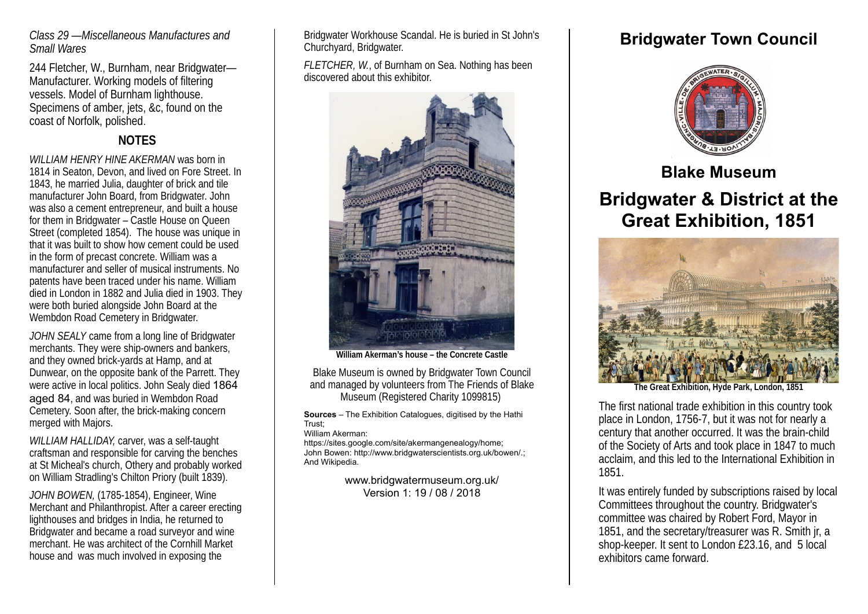### *Class 29 —Miscellaneous Manufactures and Small Wares*

244 Fletcher, W., Burnham, near Bridgwater— Manufacturer. Working models of filtering vessels. Model of Burnham lighthouse. Specimens of amber, jets, &c, found on the coast of Norfolk, polished.

## **NOTES**

*WILLIAM HENRY HINE AKERMAN* was born in 1814 in Seaton, Devon, and lived on Fore Street. In 1843, he married Julia, daughter of brick and tile manufacturer John Board, from Bridgwater. John was also a cement entrepreneur, and built a house for them in Bridgwater – Castle House on Queen Street (completed 1854). The house was unique in that it was built to show how cement could be used in the form of precast concrete. William was a manufacturer and seller of musical instruments. No patents have been traced under his name. William died in London in 1882 and Julia died in 1903. They were both buried alongside John Board at the Wembdon Road Cemetery in Bridgwater.

*JOHN SEALY* came from a long line of Bridgwater merchants. They were ship-owners and bankers, and they owned brick-yards at Hamp, and at Dunwear, on the opposite bank of the Parrett. They were active in local politics. John Sealy died 1864 aged 84, and was buried in Wembdon Road Cemetery. Soon after, the brick-making concern merged with Majors.

*WILLIAM HALLIDAY,* carver, was a self-taught craftsman and responsible for carving the benches at St Micheal's church, Othery and probably worked on William Stradling's Chilton Priory (built 1839).

*JOHN BOWEN,* (1785-1854), Engineer, Wine Merchant and Philanthropist. After a career erecting lighthouses and bridges in India, he returned to Bridgwater and became a road surveyor and wine merchant. He was architect of the Cornhill Market house and was much involved in exposing the

Bridgwater Workhouse Scandal. He is buried in St John's Churchyard, Bridgwater.

*FLETCHER, W.*, of Burnham on Sea. Nothing has been discovered about this exhibitor.



**William Akerman's house – the Concrete Castle**

Blake Museum is owned by Bridgwater Town Council and managed by volunteers from The Friends of Blake Museum (Registered Charity 1099815)

**Sources** – The Exhibition Catalogues, digitised by the Hathi Trust;

William Akerman:

https://sites.google.com/site/akermangenealogy/home; John Bowen: http://www.bridgwaterscientists.org.uk/bowen/.; And Wikipedia.

> www.bridgwatermuseum.org.uk/ Version 1: 19 / 08 / 2018

# **Bridgwater Town Council**



**Blake Museum**

# **Bridgwater & District at the Great Exhibition, 1851**



**The Great Exhibition, Hyde Park, London, 1851**

The first national trade exhibition in this country took place in London, 1756-7, but it was not for nearly a century that another occurred. It was the brain-child of the Society of Arts and took place in 1847 to much acclaim, and this led to the International Exhibition in 1851.

It was entirely funded by subscriptions raised by local Committees throughout the country. Bridgwater's committee was chaired by Robert Ford, Mayor in 1851, and the secretary/treasurer was R. Smith jr, a shop-keeper. It sent to London £23.16, and 5 local exhibitors came forward.